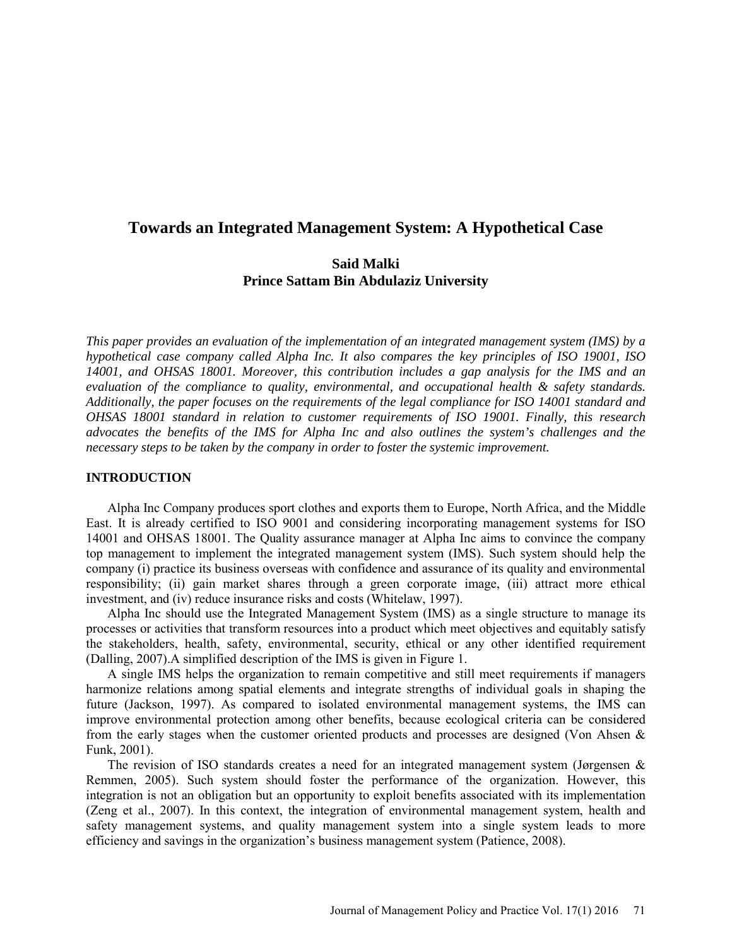# **Towards an Integrated Management System: A Hypothetical Case**

# **Said Malki Prince Sattam Bin Abdulaziz University**

*This paper provides an evaluation of the implementation of an integrated management system (IMS) by a hypothetical case company called Alpha Inc. It also compares the key principles of ISO 19001, ISO 14001, and OHSAS 18001. Moreover, this contribution includes a gap analysis for the IMS and an evaluation of the compliance to quality, environmental, and occupational health & safety standards. Additionally, the paper focuses on the requirements of the legal compliance for ISO 14001 standard and OHSAS 18001 standard in relation to customer requirements of ISO 19001. Finally, this research advocates the benefits of the IMS for Alpha Inc and also outlines the system's challenges and the necessary steps to be taken by the company in order to foster the systemic improvement.* 

#### **INTRODUCTION**

Alpha Inc Company produces sport clothes and exports them to Europe, North Africa, and the Middle East. It is already certified to ISO 9001 and considering incorporating management systems for ISO 14001 and OHSAS 18001. The Quality assurance manager at Alpha Inc aims to convince the company top management to implement the integrated management system (IMS). Such system should help the company (i) practice its business overseas with confidence and assurance of its quality and environmental responsibility; (ii) gain market shares through a green corporate image, (iii) attract more ethical investment, and (iv) reduce insurance risks and costs (Whitelaw, 1997).

Alpha Inc should use the Integrated Management System (IMS) as a single structure to manage its processes or activities that transform resources into a product which meet objectives and equitably satisfy the stakeholders, health, safety, environmental, security, ethical or any other identified requirement (Dalling, 2007).A simplified description of the IMS is given in Figure 1.

A single IMS helps the organization to remain competitive and still meet requirements if managers harmonize relations among spatial elements and integrate strengths of individual goals in shaping the future (Jackson, 1997). As compared to isolated environmental management systems, the IMS can improve environmental protection among other benefits, because ecological criteria can be considered from the early stages when the customer oriented products and processes are designed (Von Ahsen & Funk, 2001).

The revision of ISO standards creates a need for an integrated management system (Jørgensen  $\&$ Remmen, 2005). Such system should foster the performance of the organization. However, this integration is not an obligation but an opportunity to exploit benefits associated with its implementation (Zeng et al., 2007). In this context, the integration of environmental management system, health and safety management systems, and quality management system into a single system leads to more efficiency and savings in the organization's business management system (Patience, 2008).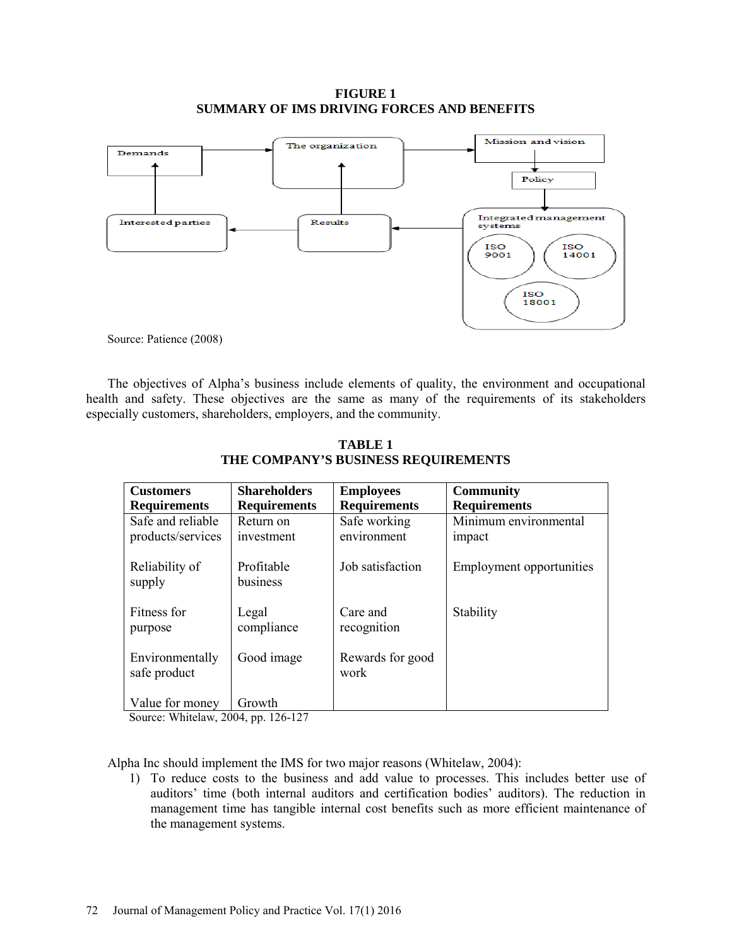### **FIGURE 1 SUMMARY OF IMS DRIVING FORCES AND BENEFITS**



Source: Patience (2008)

The objectives of Alpha's business include elements of quality, the environment and occupational health and safety. These objectives are the same as many of the requirements of its stakeholders especially customers, shareholders, employers, and the community.

| <b>Customers</b>                       | <b>Shareholders</b>     | <b>Employees</b>            | <b>Community</b>                |
|----------------------------------------|-------------------------|-----------------------------|---------------------------------|
| <b>Requirements</b>                    | <b>Requirements</b>     | <b>Requirements</b>         | <b>Requirements</b>             |
| Safe and reliable<br>products/services | Return on<br>investment | Safe working<br>environment | Minimum environmental<br>impact |
| Reliability of<br>supply               | Profitable<br>business  | Job satisfaction            | Employment opportunities        |
| Fitness for<br>purpose                 | Legal<br>compliance     | Care and<br>recognition     | Stability                       |
| Environmentally<br>safe product        | Good image              | Rewards for good<br>work    |                                 |
| Value for money                        | Growth                  |                             |                                 |

**TABLE 1 THE COMPANY'S BUSINESS REQUIREMENTS**

Source: Whitelaw, 2004, pp. 126-127

Alpha Inc should implement the IMS for two major reasons (Whitelaw, 2004):

1) To reduce costs to the business and add value to processes. This includes better use of auditors' time (both internal auditors and certification bodies' auditors). The reduction in management time has tangible internal cost benefits such as more efficient maintenance of the management systems.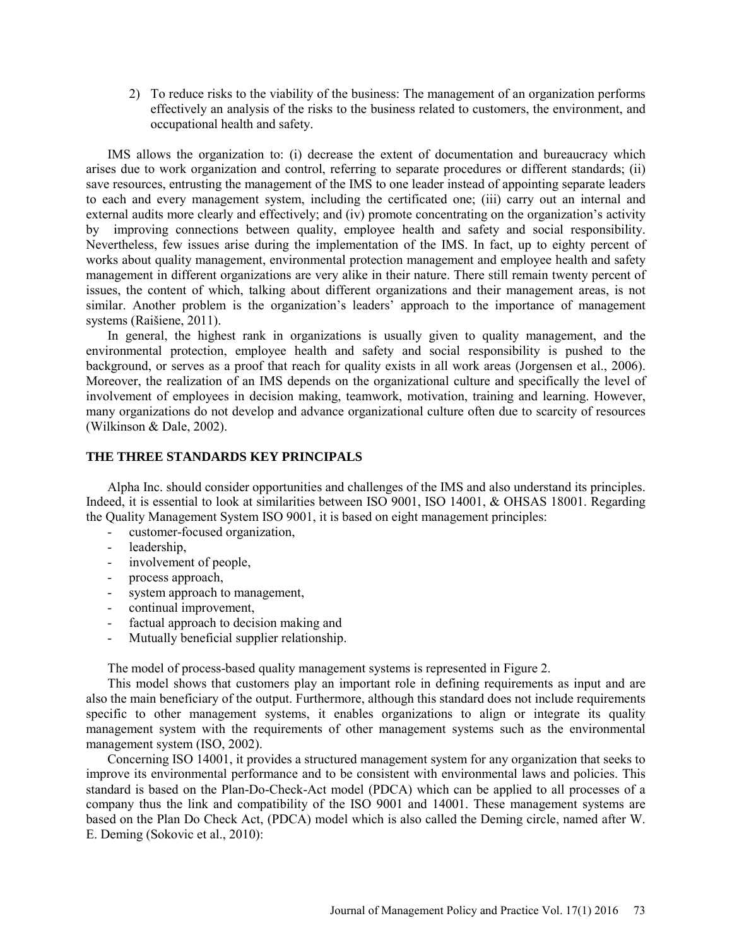2) To reduce risks to the viability of the business: The management of an organization performs effectively an analysis of the risks to the business related to customers, the environment, and occupational health and safety.

IMS allows the organization to: (i) decrease the extent of documentation and bureaucracy which arises due to work organization and control, referring to separate procedures or different standards; (ii) save resources, entrusting the management of the IMS to one leader instead of appointing separate leaders to each and every management system, including the certificated one; (iii) carry out an internal and external audits more clearly and effectively; and (iv) promote concentrating on the organization's activity by improving connections between quality, employee health and safety and social responsibility. Nevertheless, few issues arise during the implementation of the IMS. In fact, up to eighty percent of works about quality management, environmental protection management and employee health and safety management in different organizations are very alike in their nature. There still remain twenty percent of issues, the content of which, talking about different organizations and their management areas, is not similar. Another problem is the organization's leaders' approach to the importance of management systems (Raišiene, 2011).

In general, the highest rank in organizations is usually given to quality management, and the environmental protection, employee health and safety and social responsibility is pushed to the background, or serves as a proof that reach for quality exists in all work areas (Jorgensen et al., 2006). Moreover, the realization of an IMS depends on the organizational culture and specifically the level of involvement of employees in decision making, teamwork, motivation, training and learning. However, many organizations do not develop and advance organizational culture often due to scarcity of resources (Wilkinson & Dale, 2002).

### **THE THREE STANDARDS KEY PRINCIPALS**

Alpha Inc. should consider opportunities and challenges of the IMS and also understand its principles. Indeed, it is essential to look at similarities between ISO 9001, ISO 14001, & OHSAS 18001. Regarding the Quality Management System ISO 9001, it is based on eight management principles:

- customer-focused organization,
- leadership,
- involvement of people,
- process approach,
- system approach to management,
- continual improvement,
- factual approach to decision making and
- Mutually beneficial supplier relationship.

The model of process-based quality management systems is represented in Figure 2.

This model shows that customers play an important role in defining requirements as input and are also the main beneficiary of the output. Furthermore, although this standard does not include requirements specific to other management systems, it enables organizations to align or integrate its quality management system with the requirements of other management systems such as the environmental management system (ISO, 2002).

Concerning ISO 14001, it provides a structured management system for any organization that seeks to improve its environmental performance and to be consistent with environmental laws and policies. This standard is based on the Plan-Do-Check-Act model (PDCA) which can be applied to all processes of a company thus the link and compatibility of the ISO 9001 and 14001. These management systems are based on the Plan Do Check Act, (PDCA) model which is also called the Deming circle, named after W. E. Deming (Sokovic et al., 2010):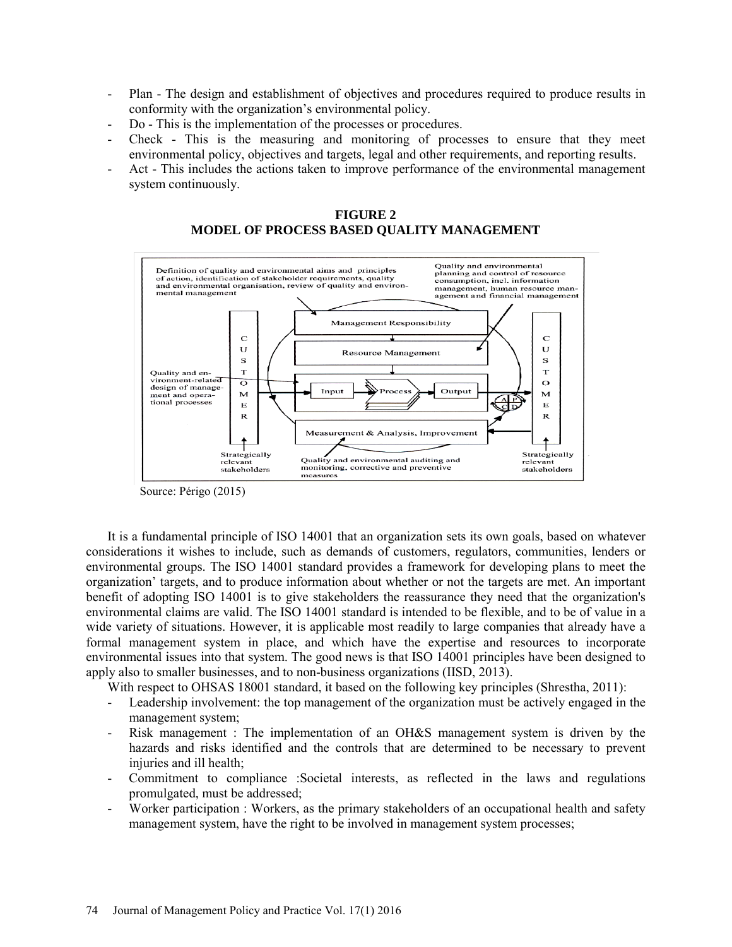- Plan The design and establishment of objectives and procedures required to produce results in conformity with the organization's environmental policy.
- Do This is the implementation of the processes or procedures.
- Check This is the measuring and monitoring of processes to ensure that they meet environmental policy, objectives and targets, legal and other requirements, and reporting results.
- Act This includes the actions taken to improve performance of the environmental management system continuously.



**FIGURE 2 MODEL OF PROCESS BASED QUALITY MANAGEMENT** 

Source: Périgo (2015)

It is a fundamental principle of ISO 14001 that an organization sets its own goals, based on whatever considerations it wishes to include, such as demands of customers, regulators, communities, lenders or environmental groups. The ISO 14001 standard provides a framework for developing plans to meet the organization' targets, and to produce information about whether or not the targets are met. An important benefit of adopting ISO 14001 is to give stakeholders the reassurance they need that the organization's environmental claims are valid. The ISO 14001 standard is intended to be flexible, and to be of value in a wide variety of situations. However, it is applicable most readily to large companies that already have a formal management system in place, and which have the expertise and resources to incorporate environmental issues into that system. The good news is that ISO 14001 principles have been designed to apply also to smaller businesses, and to non-business organizations (IISD, 2013).

With respect to OHSAS 18001 standard, it based on the following key principles (Shrestha, 2011):

- Leadership involvement: the top management of the organization must be actively engaged in the management system;
- Risk management : The implementation of an OH&S management system is driven by the hazards and risks identified and the controls that are determined to be necessary to prevent injuries and ill health;
- Commitment to compliance :Societal interests, as reflected in the laws and regulations promulgated, must be addressed;
- Worker participation : Workers, as the primary stakeholders of an occupational health and safety management system, have the right to be involved in management system processes;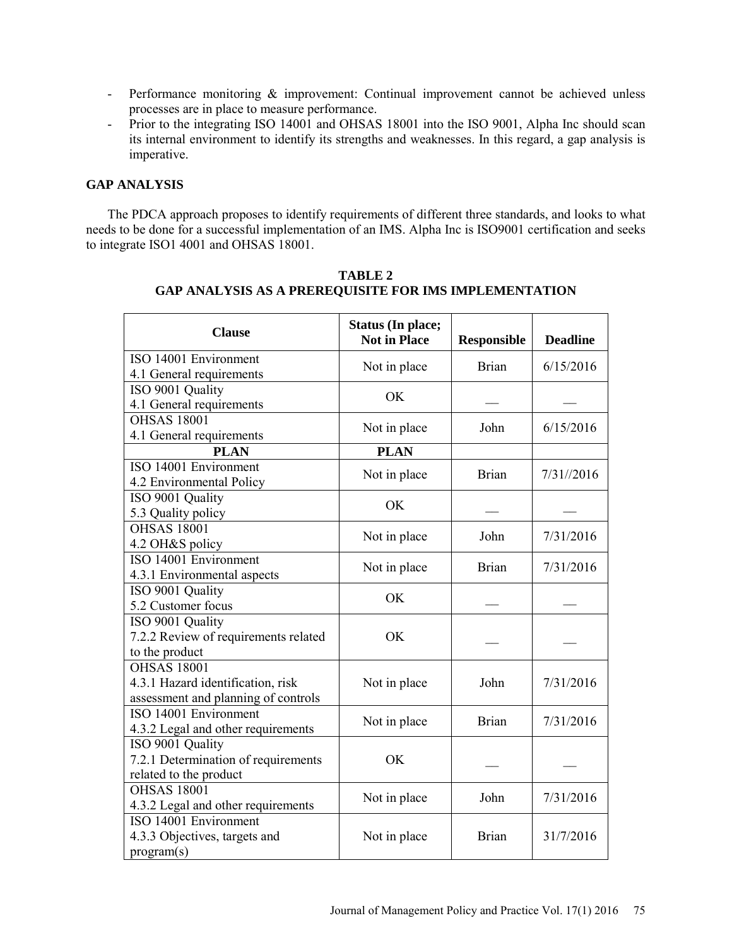- Performance monitoring  $\&$  improvement: Continual improvement cannot be achieved unless processes are in place to measure performance.
- Prior to the integrating ISO 14001 and OHSAS 18001 into the ISO 9001, Alpha Inc should scan its internal environment to identify its strengths and weaknesses. In this regard, a gap analysis is imperative.

# **GAP ANALYSIS**

The PDCA approach proposes to identify requirements of different three standards, and looks to what needs to be done for a successful implementation of an IMS. Alpha Inc is ISO9001 certification and seeks to integrate ISO1 4001 and OHSAS 18001.

| <b>Clause</b>                                                                                  | <b>Status (In place;</b><br><b>Not in Place</b> | <b>Responsible</b> | <b>Deadline</b> |
|------------------------------------------------------------------------------------------------|-------------------------------------------------|--------------------|-----------------|
| ISO 14001 Environment<br>4.1 General requirements                                              | Not in place                                    | <b>Brian</b>       | 6/15/2016       |
| ISO 9001 Quality<br>4.1 General requirements                                                   | OK                                              |                    |                 |
| <b>OHSAS 18001</b><br>4.1 General requirements                                                 | Not in place                                    | John               | 6/15/2016       |
| <b>PLAN</b>                                                                                    | <b>PLAN</b>                                     |                    |                 |
| ISO 14001 Environment<br>4.2 Environmental Policy                                              | Not in place                                    | <b>Brian</b>       | 7/31//2016      |
| ISO 9001 Quality<br>5.3 Quality policy                                                         | <b>OK</b>                                       |                    |                 |
| <b>OHSAS 18001</b><br>4.2 OH&S policy                                                          | Not in place                                    | John               | 7/31/2016       |
| ISO 14001 Environment<br>4.3.1 Environmental aspects                                           | Not in place                                    | <b>Brian</b>       | 7/31/2016       |
| ISO 9001 Quality<br>5.2 Customer focus                                                         | OK                                              |                    |                 |
| ISO 9001 Quality<br>7.2.2 Review of requirements related<br>to the product                     | OK                                              |                    |                 |
| <b>OHSAS 18001</b><br>4.3.1 Hazard identification, risk<br>assessment and planning of controls | Not in place                                    | John               | 7/31/2016       |
| ISO 14001 Environment<br>4.3.2 Legal and other requirements                                    | Not in place                                    | <b>Brian</b>       | 7/31/2016       |
| ISO 9001 Quality<br>7.2.1 Determination of requirements<br>related to the product              | OK                                              |                    |                 |
| <b>OHSAS 18001</b><br>4.3.2 Legal and other requirements                                       | Not in place                                    | John               | 7/31/2016       |
| ISO 14001 Environment<br>4.3.3 Objectives, targets and<br>program(s)                           | Not in place                                    | <b>Brian</b>       | 31/7/2016       |

**TABLE 2 GAP ANALYSIS AS A PREREQUISITE FOR IMS IMPLEMENTATION**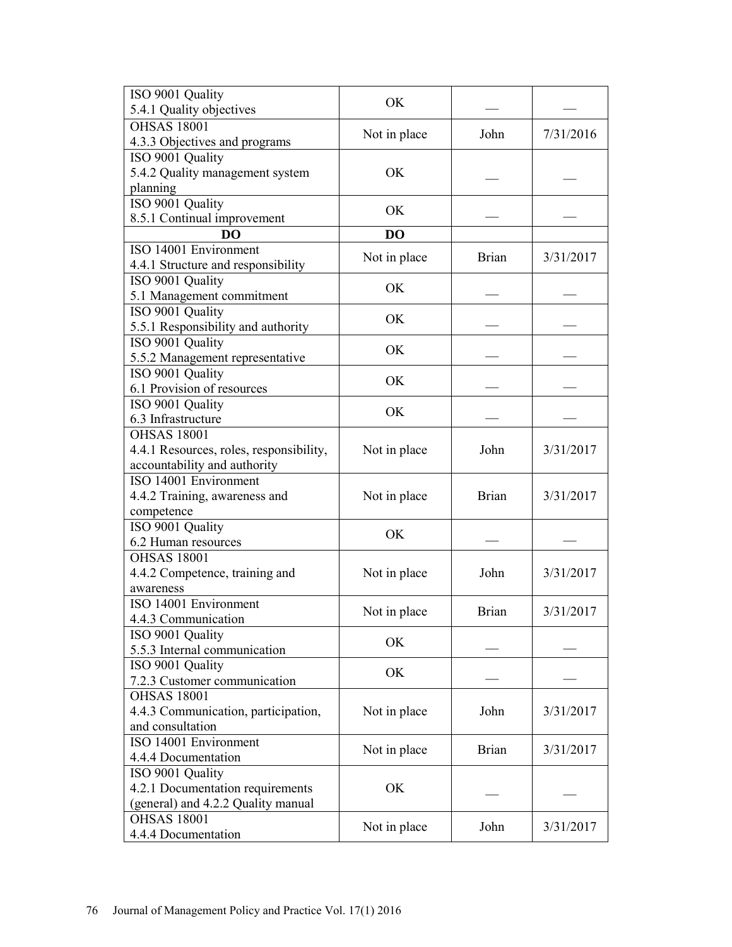| ISO 9001 Quality                        | OK           |              |           |  |
|-----------------------------------------|--------------|--------------|-----------|--|
| 5.4.1 Quality objectives                |              |              |           |  |
| <b>OHSAS 18001</b>                      |              | John         | 7/31/2016 |  |
| 4.3.3 Objectives and programs           | Not in place |              |           |  |
| ISO 9001 Quality                        |              |              |           |  |
| 5.4.2 Quality management system         | OK           |              |           |  |
| planning                                |              |              |           |  |
| ISO 9001 Quality                        |              |              |           |  |
| 8.5.1 Continual improvement             | OK           |              |           |  |
| DO                                      | DO           |              |           |  |
| ISO 14001 Environment                   |              |              |           |  |
| 4.4.1 Structure and responsibility      | Not in place | <b>Brian</b> | 3/31/2017 |  |
| ISO 9001 Quality                        | <b>OK</b>    |              |           |  |
| 5.1 Management commitment               |              |              |           |  |
| ISO 9001 Quality                        | OK           |              |           |  |
| 5.5.1 Responsibility and authority      |              |              |           |  |
| ISO 9001 Quality                        | OK           |              |           |  |
| 5.5.2 Management representative         |              |              |           |  |
| ISO 9001 Quality                        | OK           |              |           |  |
| 6.1 Provision of resources              |              |              |           |  |
| ISO 9001 Quality                        | OK           |              |           |  |
| 6.3 Infrastructure                      |              |              |           |  |
| <b>OHSAS 18001</b>                      |              |              |           |  |
| 4.4.1 Resources, roles, responsibility, | Not in place | John         | 3/31/2017 |  |
| accountability and authority            |              |              |           |  |
| ISO 14001 Environment                   |              |              |           |  |
| 4.4.2 Training, awareness and           | Not in place | <b>Brian</b> | 3/31/2017 |  |
| competence                              |              |              |           |  |
| ISO 9001 Quality                        | OK           |              |           |  |
| 6.2 Human resources                     |              |              |           |  |
| <b>OHSAS 18001</b>                      |              |              |           |  |
| 4.4.2 Competence, training and          | Not in place | John         | 3/31/2017 |  |
| awareness                               |              |              |           |  |
| ISO 14001 Environment                   | Not in place | <b>Brian</b> | 3/31/2017 |  |
| 4.4.3 Communication                     |              |              |           |  |
| ISO 9001 Quality                        | OK           |              |           |  |
| 5.5.3 Internal communication            |              |              |           |  |
| ISO 9001 Quality                        | OK           |              |           |  |
| 7.2.3 Customer communication            |              |              |           |  |
| <b>OHSAS 18001</b>                      |              |              |           |  |
| 4.4.3 Communication, participation,     | Not in place | John         | 3/31/2017 |  |
| and consultation                        |              |              |           |  |
| ISO 14001 Environment                   | Not in place | <b>Brian</b> | 3/31/2017 |  |
| 4.4.4 Documentation                     |              |              |           |  |
| ISO 9001 Quality                        |              |              |           |  |
| 4.2.1 Documentation requirements        | OK           |              |           |  |
| (general) and 4.2.2 Quality manual      |              |              |           |  |
| <b>OHSAS 18001</b>                      | Not in place | John         | 3/31/2017 |  |
| 4.4.4 Documentation                     |              |              |           |  |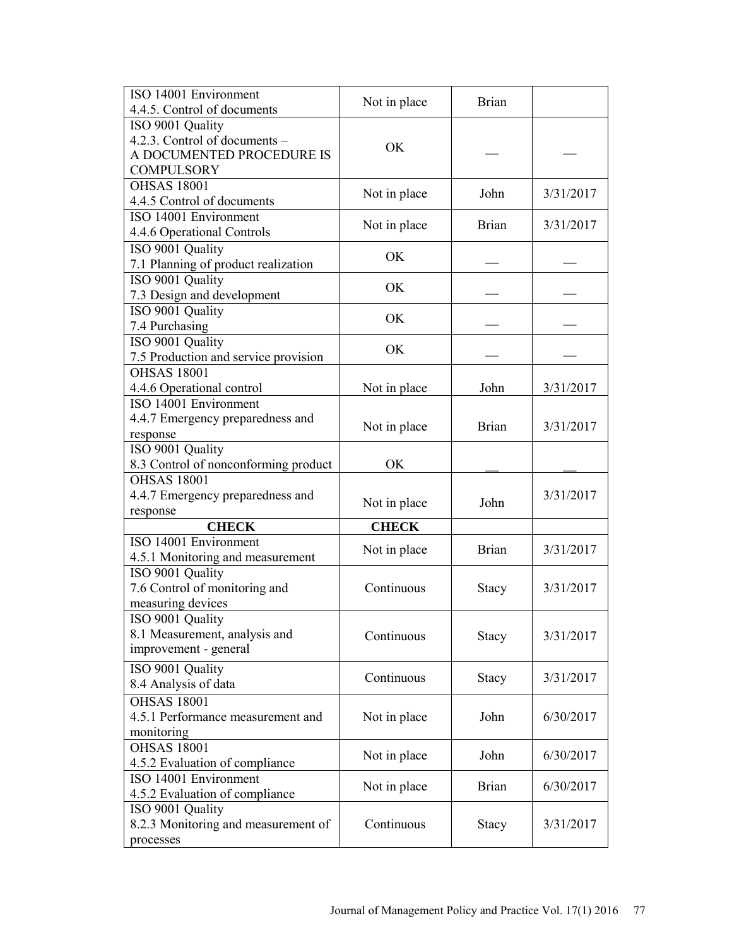| ISO 14001 Environment                           | Not in place | <b>Brian</b> |           |
|-------------------------------------------------|--------------|--------------|-----------|
| 4.4.5. Control of documents                     |              |              |           |
| ISO 9001 Quality                                |              |              |           |
| 4.2.3. Control of documents -                   | OK           |              |           |
| A DOCUMENTED PROCEDURE IS                       |              |              |           |
| <b>COMPULSORY</b>                               |              |              |           |
| <b>OHSAS 18001</b>                              | Not in place | John         | 3/31/2017 |
| 4.4.5 Control of documents                      |              |              |           |
| ISO 14001 Environment                           | Not in place | <b>Brian</b> | 3/31/2017 |
| 4.4.6 Operational Controls                      |              |              |           |
| ISO 9001 Quality                                | OK           |              |           |
| 7.1 Planning of product realization             |              |              |           |
| ISO 9001 Quality                                | OK           |              |           |
| 7.3 Design and development                      |              |              |           |
| ISO 9001 Quality                                | OK           |              |           |
| 7.4 Purchasing                                  |              |              |           |
| ISO 9001 Quality                                | OK           |              |           |
| 7.5 Production and service provision            |              |              |           |
| <b>OHSAS 18001</b>                              |              |              |           |
| 4.4.6 Operational control                       | Not in place | John         | 3/31/2017 |
| ISO 14001 Environment                           |              |              |           |
| 4.4.7 Emergency preparedness and                | Not in place | <b>Brian</b> | 3/31/2017 |
| response                                        |              |              |           |
| ISO 9001 Quality                                |              |              |           |
| 8.3 Control of nonconforming product            | OK           |              |           |
| <b>OHSAS 18001</b>                              |              |              |           |
|                                                 |              |              |           |
| 4.4.7 Emergency preparedness and                |              |              | 3/31/2017 |
| response                                        | Not in place | John         |           |
| <b>CHECK</b>                                    | <b>CHECK</b> |              |           |
| ISO 14001 Environment                           |              |              |           |
| 4.5.1 Monitoring and measurement                | Not in place | <b>Brian</b> | 3/31/2017 |
| ISO 9001 Quality                                |              |              |           |
| 7.6 Control of monitoring and                   | Continuous   | Stacy        | 3/31/2017 |
| measuring devices                               |              |              |           |
| ISO 9001 Quality                                |              |              |           |
| 8.1 Measurement, analysis and                   | Continuous   | Stacy        | 3/31/2017 |
| improvement - general                           |              |              |           |
| ISO 9001 Quality                                |              |              |           |
| 8.4 Analysis of data                            | Continuous   | Stacy        | 3/31/2017 |
| <b>OHSAS 18001</b>                              |              |              |           |
|                                                 | Not in place | John         | 6/30/2017 |
| 4.5.1 Performance measurement and<br>monitoring |              |              |           |
| <b>OHSAS 18001</b>                              |              |              |           |
| 4.5.2 Evaluation of compliance                  | Not in place | John         | 6/30/2017 |
| ISO 14001 Environment                           |              |              |           |
| 4.5.2 Evaluation of compliance                  | Not in place | <b>Brian</b> | 6/30/2017 |
| ISO 9001 Quality                                |              |              |           |
| 8.2.3 Monitoring and measurement of             | Continuous   | Stacy        | 3/31/2017 |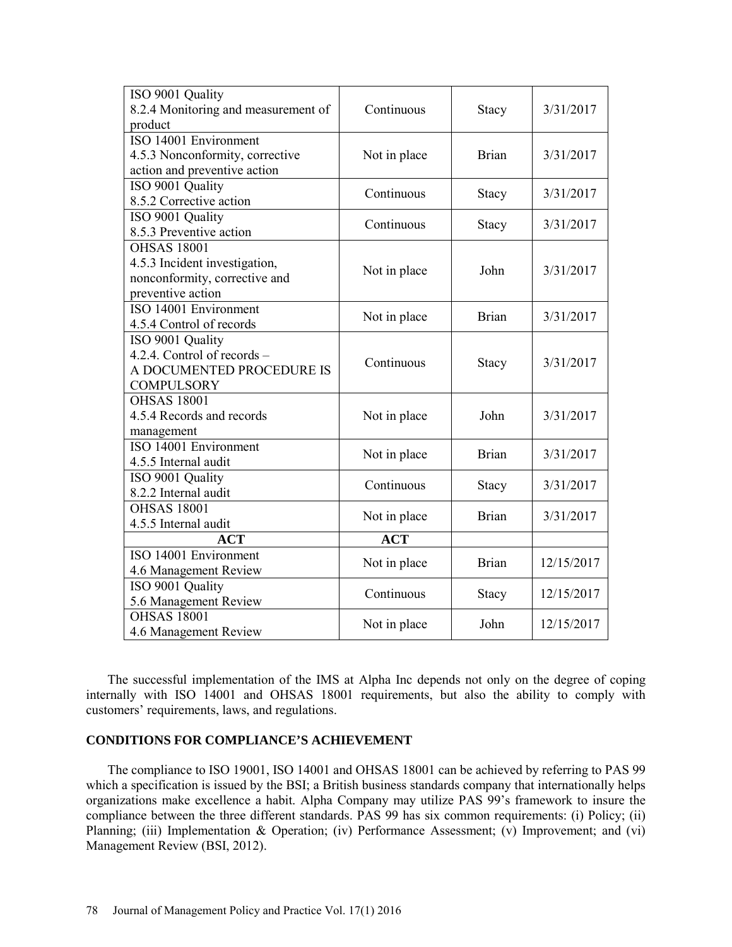| ISO 9001 Quality                    |              |              |            |  |
|-------------------------------------|--------------|--------------|------------|--|
| 8.2.4 Monitoring and measurement of | Continuous   | <b>Stacy</b> | 3/31/2017  |  |
| product                             |              |              |            |  |
| ISO 14001 Environment               |              |              |            |  |
| 4.5.3 Nonconformity, corrective     | Not in place | <b>Brian</b> | 3/31/2017  |  |
| action and preventive action        |              |              |            |  |
| ISO 9001 Quality                    |              |              |            |  |
| 8.5.2 Corrective action             | Continuous   | <b>Stacy</b> | 3/31/2017  |  |
| ISO 9001 Quality                    |              |              |            |  |
| 8.5.3 Preventive action             | Continuous   | <b>Stacy</b> | 3/31/2017  |  |
| <b>OHSAS 18001</b>                  |              |              |            |  |
| 4.5.3 Incident investigation,       |              |              |            |  |
| nonconformity, corrective and       | Not in place | John         | 3/31/2017  |  |
| preventive action                   |              |              |            |  |
| ISO 14001 Environment               |              |              |            |  |
| 4.5.4 Control of records            | Not in place | <b>Brian</b> | 3/31/2017  |  |
| ISO 9001 Quality                    |              |              |            |  |
| 4.2.4. Control of records -         |              |              |            |  |
| A DOCUMENTED PROCEDURE IS           | Continuous   | <b>Stacy</b> | 3/31/2017  |  |
| <b>COMPULSORY</b>                   |              |              |            |  |
| <b>OHSAS 18001</b>                  |              |              |            |  |
| 4.5.4 Records and records           | Not in place | John         | 3/31/2017  |  |
| management                          |              |              |            |  |
| ISO 14001 Environment               |              | <b>Brian</b> | 3/31/2017  |  |
| 4.5.5 Internal audit                | Not in place |              |            |  |
| ISO 9001 Quality                    | Continuous   |              | 3/31/2017  |  |
| 8.2.2 Internal audit                |              | <b>Stacy</b> |            |  |
| <b>OHSAS 18001</b>                  |              | <b>Brian</b> | 3/31/2017  |  |
| 4.5.5 Internal audit                | Not in place |              |            |  |
| <b>ACT</b>                          | <b>ACT</b>   |              |            |  |
| ISO 14001 Environment               | Not in place | <b>Brian</b> | 12/15/2017 |  |
| 4.6 Management Review               |              |              |            |  |
| ISO 9001 Quality                    | Continuous   |              | 12/15/2017 |  |
| 5.6 Management Review               |              | <b>Stacy</b> |            |  |
| <b>OHSAS 18001</b>                  | Not in place | John         | 12/15/2017 |  |
| 4.6 Management Review               |              |              |            |  |

The successful implementation of the IMS at Alpha Inc depends not only on the degree of coping internally with ISO 14001 and OHSAS 18001 requirements, but also the ability to comply with customers' requirements, laws, and regulations.

## **CONDITIONS FOR COMPLIANCE'S ACHIEVEMENT**

The compliance to ISO 19001, ISO 14001 and OHSAS 18001 can be achieved by referring to PAS 99 which a specification is issued by the BSI; a British business standards company that internationally helps organizations make excellence a habit. Alpha Company may utilize PAS 99's framework to insure the compliance between the three different standards. PAS 99 has six common requirements: (i) Policy; (ii) Planning; (iii) Implementation & Operation; (iv) Performance Assessment; (v) Improvement; and (vi) Management Review (BSI, 2012).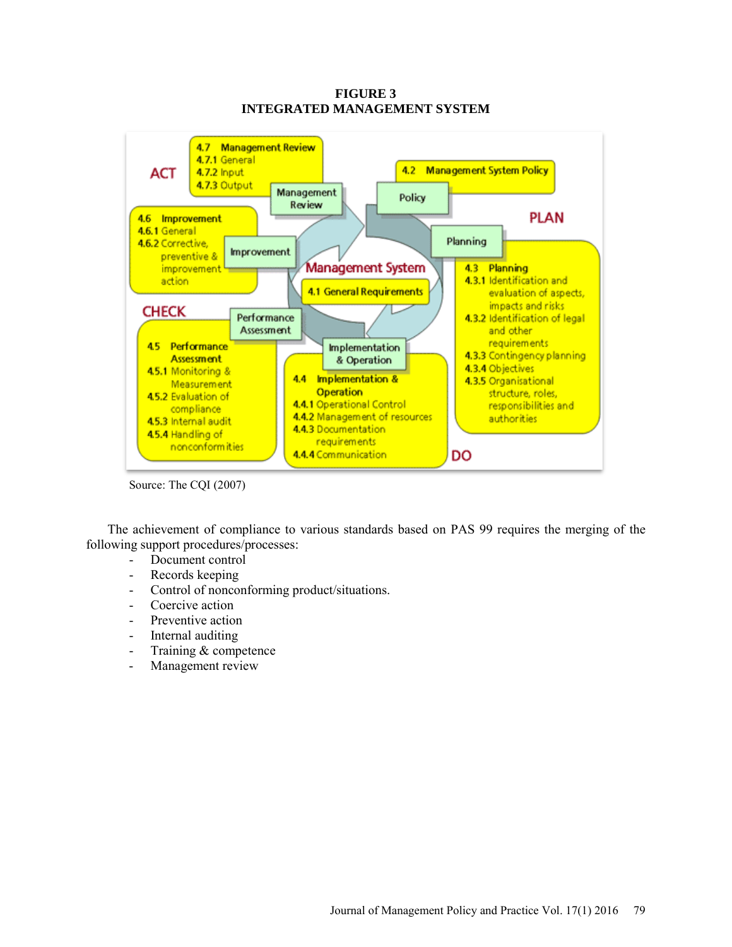

**FIGURE 3 INTEGRATED MANAGEMENT SYSTEM**

Source: The CQI (2007)

The achievement of compliance to various standards based on PAS 99 requires the merging of the following support procedures/processes:

- Document control
- Records keeping
- Control of nonconforming product/situations.
- Coercive action
- Preventive action
- Internal auditing
- Training & competence
- Management review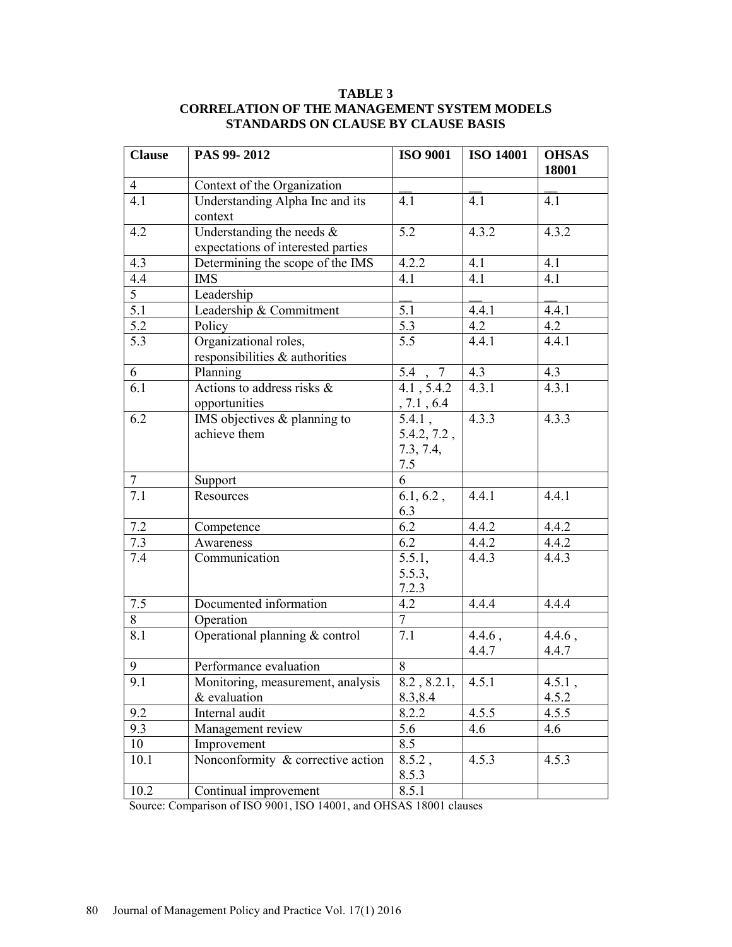## **TABLE 3 CORRELATION OF THE MANAGEMENT SYSTEM MODELS STANDARDS ON CLAUSE BY CLAUSE BASIS**

| <b>Clause</b>    | PAS 99-2012                                                        | <b>ISO 9001</b>                              | <b>ISO 14001</b>   | <b>OHSAS</b><br>18001 |
|------------------|--------------------------------------------------------------------|----------------------------------------------|--------------------|-----------------------|
| $\overline{4}$   | Context of the Organization                                        |                                              |                    |                       |
| 4.1              | Understanding Alpha Inc and its<br>context                         | 4.1                                          | 4.1                | 4.1                   |
| 4.2              | Understanding the needs $\&$<br>expectations of interested parties | 5.2                                          | 4.3.2              | 4.3.2                 |
| 4.3              | Determining the scope of the IMS                                   | 4.2.2                                        | 4.1                | 4.1                   |
| 4.4              | <b>IMS</b>                                                         | 4.1                                          | 4.1                | 4.1                   |
| $\overline{5}$   | Leadership                                                         |                                              |                    |                       |
| $\overline{5.1}$ | Leadership & Commitment                                            | 5.1                                          | 4.4.1              | 4.4.1                 |
| 5.2              | Policy                                                             | 5.3                                          | 4.2                | 4.2                   |
| 5.3              | Organizational roles,<br>responsibilities & authorities            | 5.5                                          | 4.4.1              | 4.4.1                 |
| 6                | Planning                                                           | 5.4<br>$7\phantom{.0}$                       | 4.3                | 4.3                   |
| 6.1              | Actions to address risks $\&$<br>opportunities                     | 4.1, 5.4.2<br>, 7.1, 6.4                     | 4.3.1              | 4.3.1                 |
| 6.2              | IMS objectives $&$ planning to<br>achieve them                     | $5.4.1$ ,<br>5.4.2, 7.2,<br>7.3, 7.4,<br>7.5 | 4.3.3              | 4.3.3                 |
| $\tau$           | Support                                                            | 6                                            |                    |                       |
| 7.1              | Resources                                                          | 6.1, 6.2,<br>6.3                             | 4.4.1              | 4.4.1                 |
| 7.2              | Competence                                                         | 6.2                                          | 4.4.2              | 4.4.2                 |
| 7.3              | Awareness                                                          | 6.2                                          | 4.4.2              | 4.4.2                 |
| 7.4              | Communication                                                      | 5.5.1,<br>5.5.3,<br>7.2.3                    | 4.4.3              | 4.4.3                 |
| $7.5$            | Documented information                                             | 4.2                                          | 4.4.4              | 4.4.4                 |
| 8                | Operation                                                          | $\tau$                                       |                    |                       |
| 8.1              | Operational planning & control                                     | 7.1                                          | $4.4.6$ ,<br>4.4.7 | $4.4.6$ ,<br>4.4.7    |
| 9                | Performance evaluation                                             | 8                                            |                    |                       |
| 9.1              | Monitoring, measurement, analysis                                  | 8.2, 8.2.1,                                  | 4.5.1              | 4.5.1,                |
|                  | & evaluation                                                       | 8.3,8.4                                      |                    | 4.5.2                 |
| 9.2              | Internal audit                                                     | 8.2.2                                        | 4.5.5              | 4.5.5                 |
| 9.3              | Management review                                                  | 5.6                                          | 4.6                | 4.6                   |
| 10               | Improvement                                                        | 8.5                                          |                    |                       |
| 10.1             | Nonconformity & corrective action                                  | $8.5.2$ ,<br>8.5.3                           | 4.5.3              | 4.5.3                 |
| 10.2             | Continual improvement                                              | 8.5.1                                        |                    |                       |

Source: Comparison of ISO 9001, ISO 14001, and OHSAS 18001 clauses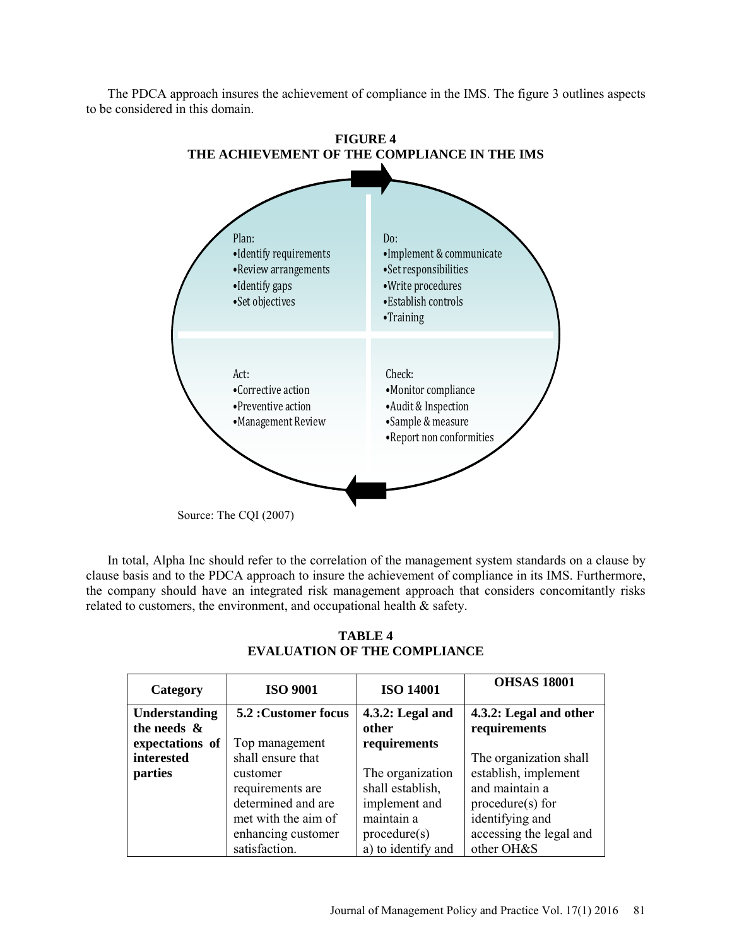The PDCA approach insures the achievement of compliance in the IMS. The figure 3 outlines aspects to be considered in this domain.



In total, Alpha Inc should refer to the correlation of the management system standards on a clause by clause basis and to the PDCA approach to insure the achievement of compliance in its IMS. Furthermore, the company should have an integrated risk management approach that considers concomitantly risks related to customers, the environment, and occupational health & safety.

| Category             | <b>ISO 9001</b>      | <b>ISO 14001</b>   | <b>OHSAS 18001</b>      |
|----------------------|----------------------|--------------------|-------------------------|
| <b>Understanding</b> | 5.2 : Customer focus | $4.3.2:$ Legal and | 4.3.2: Legal and other  |
| the needs $\&$       |                      | other              | requirements            |
| expectations of      | Top management       | requirements       |                         |
| interested           | shall ensure that    |                    | The organization shall  |
| parties              | customer             | The organization   | establish, implement    |
|                      | requirements are     | shall establish,   | and maintain a          |
|                      | determined and are   | implement and      | procedure(s) for        |
|                      | met with the aim of  | maintain a         | identifying and         |
|                      | enhancing customer   | procedure(s)       | accessing the legal and |
|                      | satisfaction.        | a) to identify and | other OH&S              |

## **TABLE 4 EVALUATION OF THE COMPLIANCE**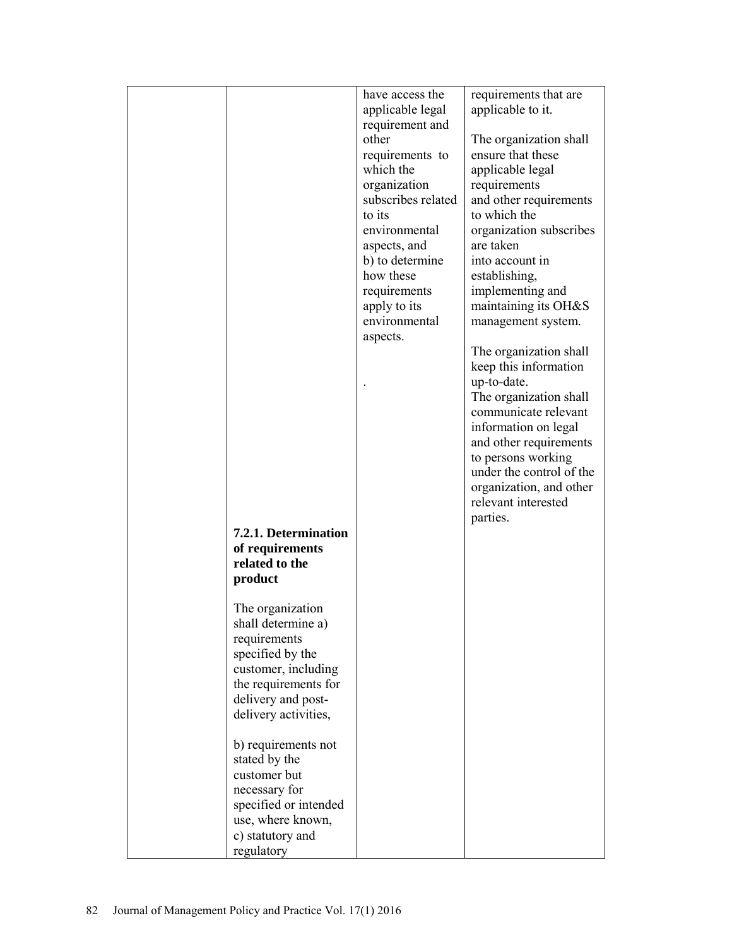|                                    | have access the    | requirements that are    |
|------------------------------------|--------------------|--------------------------|
|                                    | applicable legal   | applicable to it.        |
|                                    | requirement and    |                          |
|                                    | other              | The organization shall   |
|                                    | requirements to    | ensure that these        |
|                                    | which the          | applicable legal         |
|                                    | organization       | requirements             |
|                                    | subscribes related | and other requirements   |
|                                    | to its             | to which the             |
|                                    | environmental      | organization subscribes  |
|                                    | aspects, and       | are taken                |
|                                    | b) to determine    | into account in          |
|                                    | how these          | establishing,            |
|                                    | requirements       | implementing and         |
|                                    | apply to its       | maintaining its OH&S     |
|                                    | environmental      | management system.       |
|                                    | aspects.           |                          |
|                                    |                    | The organization shall   |
|                                    |                    | keep this information    |
|                                    |                    | up-to-date.              |
|                                    |                    | The organization shall   |
|                                    |                    | communicate relevant     |
|                                    |                    | information on legal     |
|                                    |                    | and other requirements   |
|                                    |                    | to persons working       |
|                                    |                    | under the control of the |
|                                    |                    | organization, and other  |
|                                    |                    | relevant interested      |
|                                    |                    | parties.                 |
| 7.2.1. Determination               |                    |                          |
| of requirements<br>related to the  |                    |                          |
|                                    |                    |                          |
| product                            |                    |                          |
| The organization                   |                    |                          |
|                                    |                    |                          |
| shall determine a)<br>requirements |                    |                          |
| specified by the                   |                    |                          |
| customer, including                |                    |                          |
| the requirements for               |                    |                          |
| delivery and post-                 |                    |                          |
| delivery activities,               |                    |                          |
|                                    |                    |                          |
| b) requirements not                |                    |                          |
| stated by the                      |                    |                          |
| customer but                       |                    |                          |
| necessary for                      |                    |                          |
| specified or intended              |                    |                          |
| use, where known,                  |                    |                          |
| c) statutory and                   |                    |                          |
| regulatory                         |                    |                          |
|                                    |                    |                          |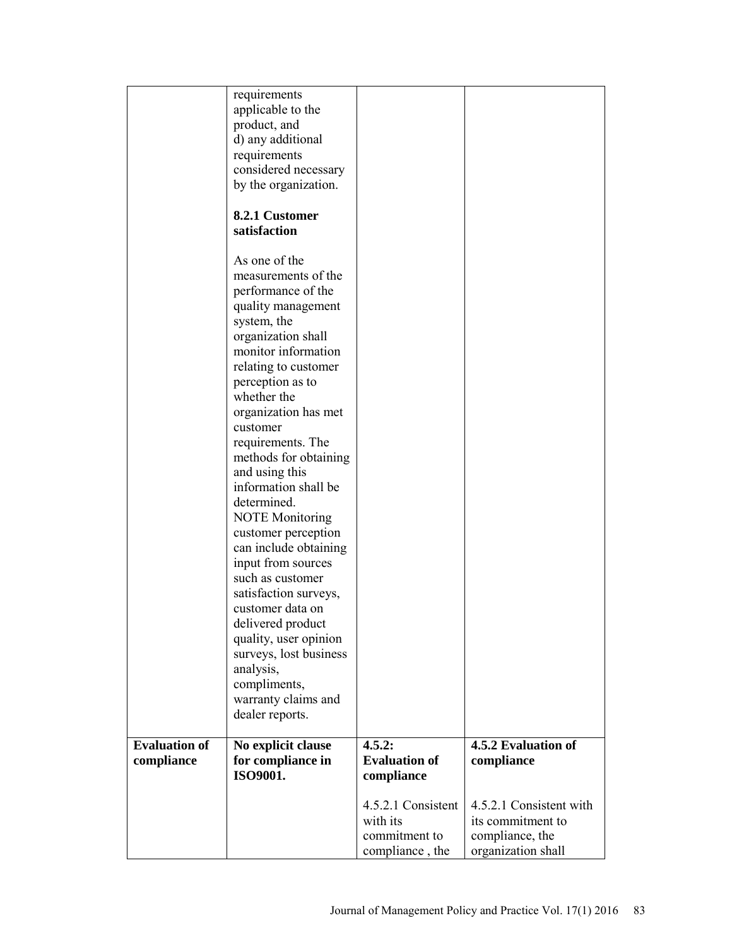|                      | requirements           |                                  |                                       |
|----------------------|------------------------|----------------------------------|---------------------------------------|
|                      | applicable to the      |                                  |                                       |
|                      | product, and           |                                  |                                       |
|                      | d) any additional      |                                  |                                       |
|                      | requirements           |                                  |                                       |
|                      | considered necessary   |                                  |                                       |
|                      | by the organization.   |                                  |                                       |
|                      |                        |                                  |                                       |
|                      | 8.2.1 Customer         |                                  |                                       |
|                      | satisfaction           |                                  |                                       |
|                      |                        |                                  |                                       |
|                      | As one of the          |                                  |                                       |
|                      | measurements of the    |                                  |                                       |
|                      |                        |                                  |                                       |
|                      | performance of the     |                                  |                                       |
|                      | quality management     |                                  |                                       |
|                      | system, the            |                                  |                                       |
|                      | organization shall     |                                  |                                       |
|                      | monitor information    |                                  |                                       |
|                      | relating to customer   |                                  |                                       |
|                      | perception as to       |                                  |                                       |
|                      | whether the            |                                  |                                       |
|                      | organization has met   |                                  |                                       |
|                      | customer               |                                  |                                       |
|                      | requirements. The      |                                  |                                       |
|                      | methods for obtaining  |                                  |                                       |
|                      | and using this         |                                  |                                       |
|                      | information shall be   |                                  |                                       |
|                      |                        |                                  |                                       |
|                      | determined.            |                                  |                                       |
|                      | <b>NOTE Monitoring</b> |                                  |                                       |
|                      | customer perception    |                                  |                                       |
|                      | can include obtaining  |                                  |                                       |
|                      | input from sources     |                                  |                                       |
|                      | such as customer       |                                  |                                       |
|                      | satisfaction surveys,  |                                  |                                       |
|                      | customer data on       |                                  |                                       |
|                      | delivered product      |                                  |                                       |
|                      | quality, user opinion  |                                  |                                       |
|                      | surveys, lost business |                                  |                                       |
|                      | analysis,              |                                  |                                       |
|                      | compliments,           |                                  |                                       |
|                      | warranty claims and    |                                  |                                       |
|                      | dealer reports.        |                                  |                                       |
|                      |                        |                                  |                                       |
| <b>Evaluation of</b> | No explicit clause     | 4.5.2:                           | 4.5.2 Evaluation of                   |
| compliance           |                        |                                  |                                       |
|                      |                        |                                  |                                       |
|                      | for compliance in      | <b>Evaluation of</b>             | compliance                            |
|                      | ISO9001.               | compliance                       |                                       |
|                      |                        | 4.5.2.1 Consistent               | 4.5.2.1 Consistent with               |
|                      |                        | with its                         | its commitment to                     |
|                      |                        |                                  |                                       |
|                      |                        | commitment to<br>compliance, the | compliance, the<br>organization shall |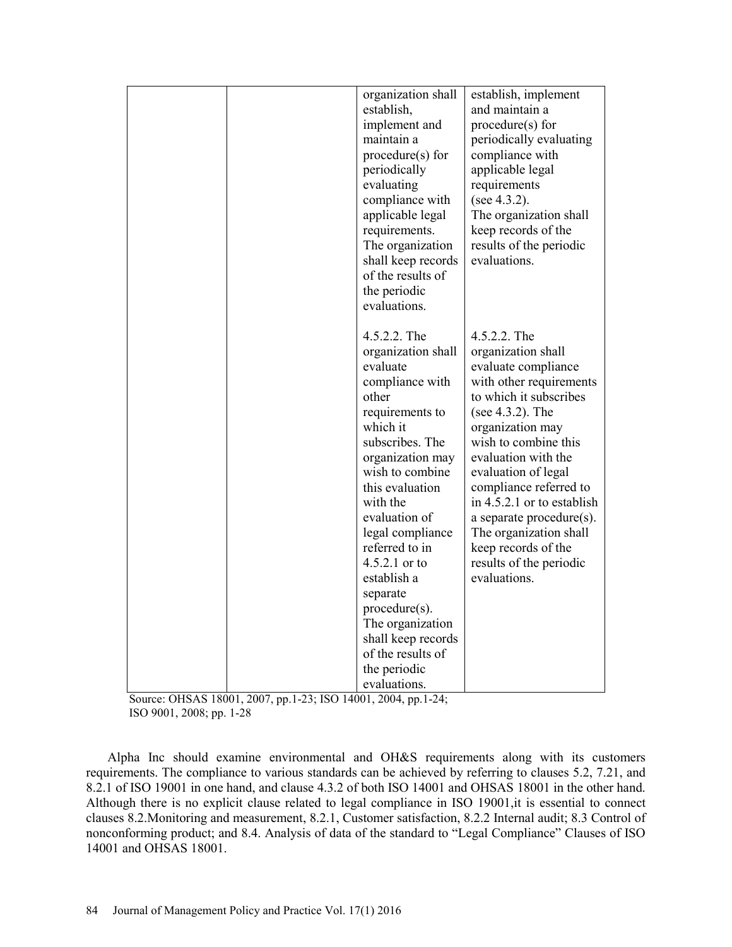| organization shall                      | establish, implement         |
|-----------------------------------------|------------------------------|
| establish,                              | and maintain a               |
|                                         | procedure(s) for             |
| implement and                           |                              |
| maintain a                              | periodically evaluating      |
| $procedure(s)$ for                      | compliance with              |
| periodically                            | applicable legal             |
| evaluating                              | requirements                 |
| compliance with                         | (see $4.3.2$ ).              |
| applicable legal                        | The organization shall       |
| requirements.                           | keep records of the          |
| The organization                        | results of the periodic      |
| shall keep records                      | evaluations.                 |
| of the results of                       |                              |
| the periodic                            |                              |
| evaluations.                            |                              |
|                                         |                              |
| 4.5.2.2. The                            | 4.5.2.2. The                 |
| organization shall                      | organization shall           |
| evaluate                                | evaluate compliance          |
| compliance with                         | with other requirements      |
| other                                   | to which it subscribes       |
| requirements to                         | (see 4.3.2). The             |
| which it                                | organization may             |
| subscribes. The                         | wish to combine this         |
| organization may                        | evaluation with the          |
| wish to combine                         | evaluation of legal          |
| this evaluation                         | compliance referred to       |
| with the                                | in $4.5.2.1$ or to establish |
| evaluation of                           | a separate procedure(s).     |
| legal compliance                        | The organization shall       |
| referred to in                          | keep records of the          |
| $4.5.2.1$ or to                         | results of the periodic      |
| establish a                             | evaluations.                 |
| separate                                |                              |
| $procedure(s)$ .                        |                              |
| The organization                        |                              |
|                                         |                              |
| shall keep records<br>of the results of |                              |
|                                         |                              |
| the periodic                            |                              |
| evaluations.                            |                              |

Source: OHSAS 18001, 2007, pp.1-23; ISO 14001, 2004, pp.1-24; ISO 9001, 2008; pp. 1-28

Alpha Inc should examine environmental and OH&S requirements along with its customers requirements. The compliance to various standards can be achieved by referring to clauses 5.2, 7.21, and 8.2.1 of ISO 19001 in one hand, and clause 4.3.2 of both ISO 14001 and OHSAS 18001 in the other hand. Although there is no explicit clause related to legal compliance in ISO 19001,it is essential to connect clauses 8.2.Monitoring and measurement, 8.2.1, Customer satisfaction, 8.2.2 Internal audit; 8.3 Control of nonconforming product; and 8.4. Analysis of data of the standard to "Legal Compliance" Clauses of ISO 14001 and OHSAS 18001.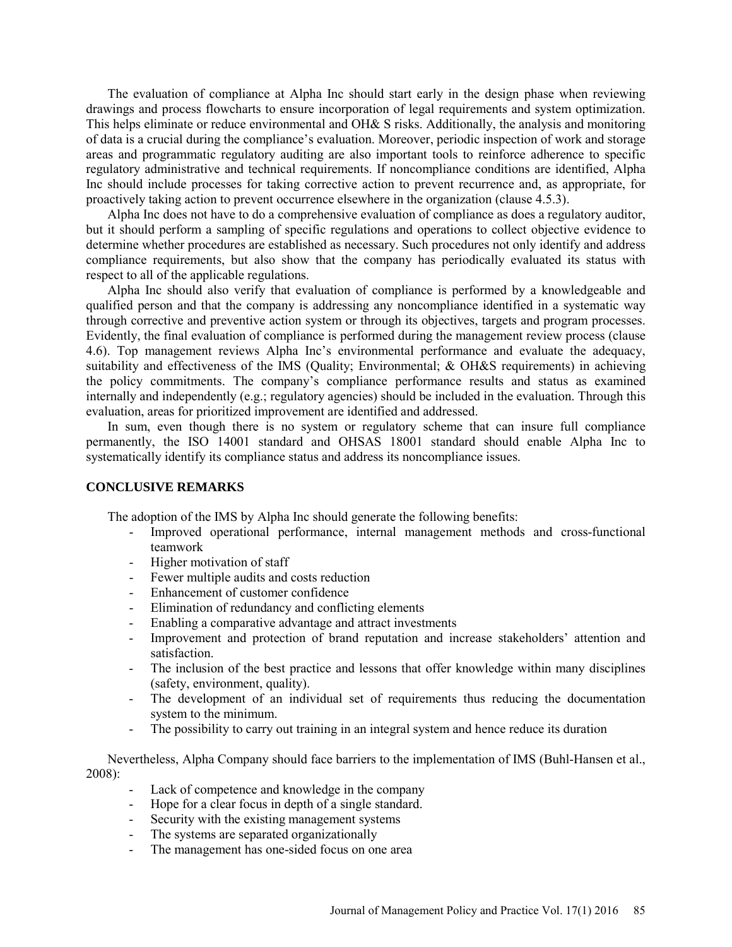The evaluation of compliance at Alpha Inc should start early in the design phase when reviewing drawings and process flowcharts to ensure incorporation of legal requirements and system optimization. This helps eliminate or reduce environmental and OH& S risks. Additionally, the analysis and monitoring of data is a crucial during the compliance's evaluation. Moreover, periodic inspection of work and storage areas and programmatic regulatory auditing are also important tools to reinforce adherence to specific regulatory administrative and technical requirements. If noncompliance conditions are identified, Alpha Inc should include processes for taking corrective action to prevent recurrence and, as appropriate, for proactively taking action to prevent occurrence elsewhere in the organization (clause 4.5.3).

Alpha Inc does not have to do a comprehensive evaluation of compliance as does a regulatory auditor, but it should perform a sampling of specific regulations and operations to collect objective evidence to determine whether procedures are established as necessary. Such procedures not only identify and address compliance requirements, but also show that the company has periodically evaluated its status with respect to all of the applicable regulations.

Alpha Inc should also verify that evaluation of compliance is performed by a knowledgeable and qualified person and that the company is addressing any noncompliance identified in a systematic way through corrective and preventive action system or through its objectives, targets and program processes. Evidently, the final evaluation of compliance is performed during the management review process (clause 4.6). Top management reviews Alpha Inc's environmental performance and evaluate the adequacy, suitability and effectiveness of the IMS (Quality; Environmental; & OH&S requirements) in achieving the policy commitments. The company's compliance performance results and status as examined internally and independently (e.g.; regulatory agencies) should be included in the evaluation. Through this evaluation, areas for prioritized improvement are identified and addressed.

In sum, even though there is no system or regulatory scheme that can insure full compliance permanently, the ISO 14001 standard and OHSAS 18001 standard should enable Alpha Inc to systematically identify its compliance status and address its noncompliance issues.

#### **CONCLUSIVE REMARKS**

The adoption of the IMS by Alpha Inc should generate the following benefits:

- Improved operational performance, internal management methods and cross-functional teamwork
- Higher motivation of staff
- Fewer multiple audits and costs reduction
- Enhancement of customer confidence
- Elimination of redundancy and conflicting elements
- Enabling a comparative advantage and attract investments
- Improvement and protection of brand reputation and increase stakeholders' attention and satisfaction.
- The inclusion of the best practice and lessons that offer knowledge within many disciplines (safety, environment, quality).
- The development of an individual set of requirements thus reducing the documentation system to the minimum.
- The possibility to carry out training in an integral system and hence reduce its duration

Nevertheless, Alpha Company should face barriers to the implementation of IMS (Buhl-Hansen et al., 2008):

- Lack of competence and knowledge in the company
- Hope for a clear focus in depth of a single standard.
- Security with the existing management systems
- The systems are separated organizationally
- The management has one-sided focus on one area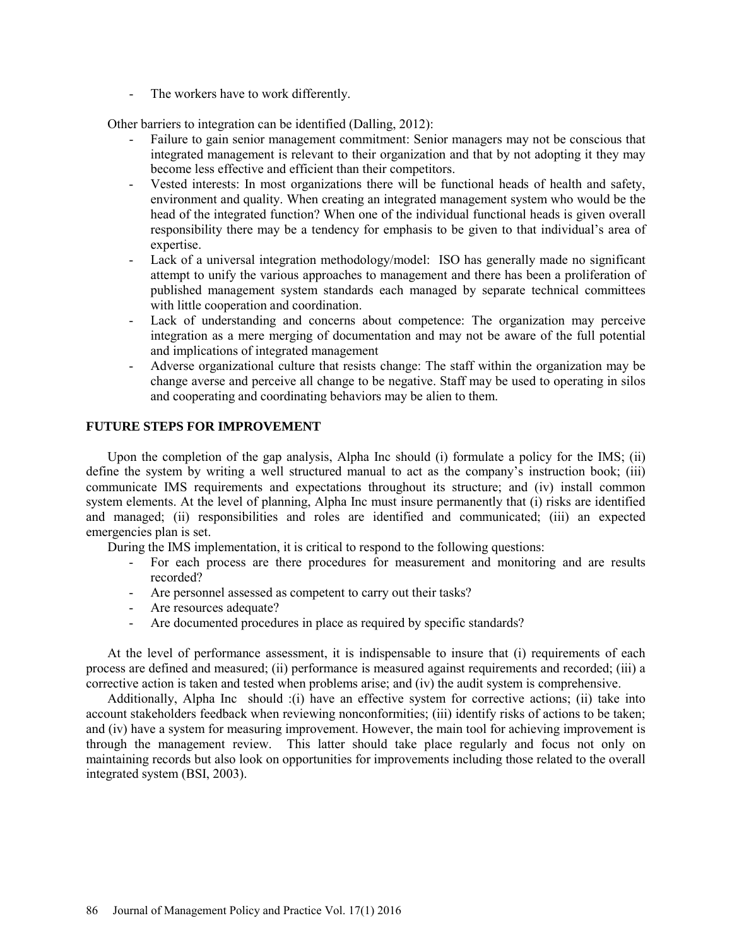- The workers have to work differently.

Other barriers to integration can be identified (Dalling, 2012):

- Failure to gain senior management commitment: Senior managers may not be conscious that integrated management is relevant to their organization and that by not adopting it they may become less effective and efficient than their competitors.
- Vested interests: In most organizations there will be functional heads of health and safety, environment and quality. When creating an integrated management system who would be the head of the integrated function? When one of the individual functional heads is given overall responsibility there may be a tendency for emphasis to be given to that individual's area of expertise.
- Lack of a universal integration methodology/model: ISO has generally made no significant attempt to unify the various approaches to management and there has been a proliferation of published management system standards each managed by separate technical committees with little cooperation and coordination.
- Lack of understanding and concerns about competence: The organization may perceive integration as a mere merging of documentation and may not be aware of the full potential and implications of integrated management
- Adverse organizational culture that resists change: The staff within the organization may be change averse and perceive all change to be negative. Staff may be used to operating in silos and cooperating and coordinating behaviors may be alien to them.

### **FUTURE STEPS FOR IMPROVEMENT**

Upon the completion of the gap analysis, Alpha Inc should (i) formulate a policy for the IMS; (ii) define the system by writing a well structured manual to act as the company's instruction book; (iii) communicate IMS requirements and expectations throughout its structure; and (iv) install common system elements. At the level of planning, Alpha Inc must insure permanently that (i) risks are identified and managed; (ii) responsibilities and roles are identified and communicated; (iii) an expected emergencies plan is set.

During the IMS implementation, it is critical to respond to the following questions:

- For each process are there procedures for measurement and monitoring and are results recorded?
- Are personnel assessed as competent to carry out their tasks?
- Are resources adequate?
- Are documented procedures in place as required by specific standards?

At the level of performance assessment, it is indispensable to insure that (i) requirements of each process are defined and measured; (ii) performance is measured against requirements and recorded; (iii) a corrective action is taken and tested when problems arise; and (iv) the audit system is comprehensive.

Additionally, Alpha Inc should :(i) have an effective system for corrective actions; (ii) take into account stakeholders feedback when reviewing nonconformities; (iii) identify risks of actions to be taken; and (iv) have a system for measuring improvement. However, the main tool for achieving improvement is through the management review. This latter should take place regularly and focus not only on maintaining records but also look on opportunities for improvements including those related to the overall integrated system (BSI, 2003).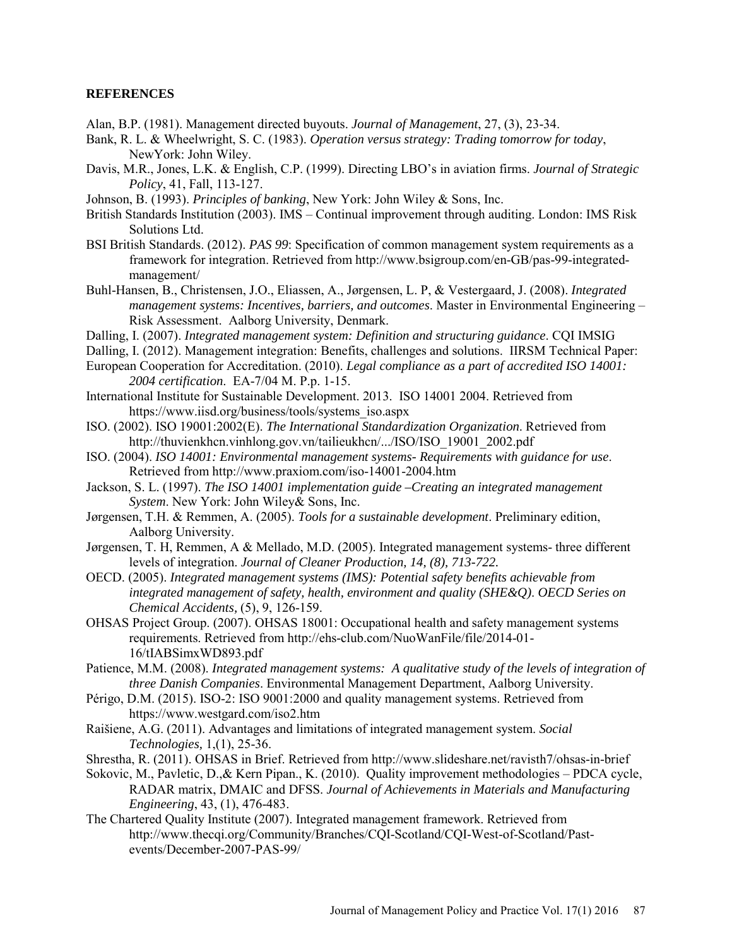#### **REFERENCES**

- Alan, B.P. (1981). Management directed buyouts. *Journal of Management*, 27, (3), 23-34.
- Bank, R. L. & Wheelwright, S. C. (1983). *Operation versus strategy: Trading tomorrow for today*, NewYork: John Wiley.
- Davis, M.R., Jones, L.K. & English, C.P. (1999). Directing LBO's in aviation firms. *Journal of Strategic Policy*, 41, Fall, 113-127.
- Johnson, B. (1993). *Principles of banking*, New York: John Wiley & Sons, Inc.
- British Standards Institution (2003). IMS Continual improvement through auditing. London: IMS Risk Solutions Ltd.
- BSI British Standards. (2012). *PAS 99*: Specification of common management system requirements as a framework for integration. Retrieved from http://www.bsigroup.com/en-GB/pas-99-integratedmanagement/
- Buhl-Hansen, B., Christensen, J.O., Eliassen, A., Jørgensen, L. P, & Vestergaard, J. (2008). *Integrated management systems: Incentives, barriers, and outcomes*. Master in Environmental Engineering – Risk Assessment. Aalborg University, Denmark.
- Dalling, I. (2007). *Integrated management system: Definition and structuring guidance*. CQI IMSIG
- Dalling, I. (2012). Management integration: Benefits, challenges and solutions. IIRSM Technical Paper:
- European Cooperation for Accreditation. (2010). *Legal compliance as a part of accredited ISO 14001: 2004 certification*. EA-7/04 M. P.p. 1-15.
- International Institute for Sustainable Development. 2013. ISO 14001 2004. Retrieved from [https://www.iisd.org/business/tools/systems\\_iso.aspx](https://www.iisd.org/business/tools/systems_iso.aspx)
- ISO. (2002). ISO 19001:2002(E). *The International Standardization Organization*. Retrieved from [http://thuvienkhcn.vinhlong.gov.vn/tailieukhcn/.../ISO/ISO\\_19001\\_2002.pdf](http://thuvienkhcn.vinhlong.gov.vn/tailieukhcn/.../ISO/ISO_19001_2002.pdf)
- ISO. (2004). *ISO 14001: Environmental management systems- Requirements with guidance for use*. Retrieved fro[m http://www.praxiom.com/iso-14001-2004.htm](http://www.praxiom.com/iso-14001-2004.htm)
- Jackson, S. L. (1997). *The ISO 14001 implementation guide –Creating an integrated management System*. New York: John Wiley& Sons, Inc.
- Jørgensen, T.H. & Remmen, A. (2005). *Tools for a sustainable development*. Preliminary edition, Aalborg University.
- Jørgensen, T. H, Remmen, A & Mellado, M.D. (2005). Integrated management systems- three different levels of integration. *Journal of Cleaner Production, 14, (8), 713-722.*
- OECD. (2005). *Integrated management systems (IMS): Potential safety benefits achievable from integrated management of safety, health, environment and quality (SHE&Q)*. *OECD Series on Chemical Accidents,* (5), 9, 126-159.
- OHSAS Project Group. (2007). OHSAS 18001: Occupational health and safety management systems requirements. Retrieved from [http://ehs-club.com/NuoWanFile/file/2014-01-](http://ehs-club.com/NuoWanFile/file/2014-01-16/tIABSimxWD893.pdf) [16/tIABSimxWD893.pdf](http://ehs-club.com/NuoWanFile/file/2014-01-16/tIABSimxWD893.pdf)
- Patience, M.M. (2008). *Integrated management systems: A qualitative study of the levels of integration of three Danish Companies*. Environmental Management Department, Aalborg University.
- Périgo, D.M. (2015). ISO-2: ISO 9001:2000 and quality management systems. Retrieved from <https://www.westgard.com/iso2.htm>
- Raišiene, A.G. (2011). Advantages and limitations of integrated management system. *Social Technologies,* 1,(1), 25-36.
- Shrestha, R. (2011). OHSAS in Brief. Retrieved from<http://www.slideshare.net/ravisth7/ohsas-in-brief>
- Sokovic, M., Pavletic, D.,& Kern Pipan., K. (2010). Quality improvement methodologies PDCA cycle, RADAR matrix, DMAIC and DFSS. *Journal of Achievements in Materials and Manufacturing Engineering*, 43, (1), 476-483.
- The Chartered Quality Institute (2007). Integrated management framework. Retrieved from [http://www.thecqi.org/Community/Branches/CQI-Scotland/CQI-West-of-Scotland/Past](http://www.thecqi.org/Community/Branches/CQI-Scotland/CQI-West-of-Scotland/Past-events/December-2007-PAS-99/)[events/December-2007-PAS-99/](http://www.thecqi.org/Community/Branches/CQI-Scotland/CQI-West-of-Scotland/Past-events/December-2007-PAS-99/)